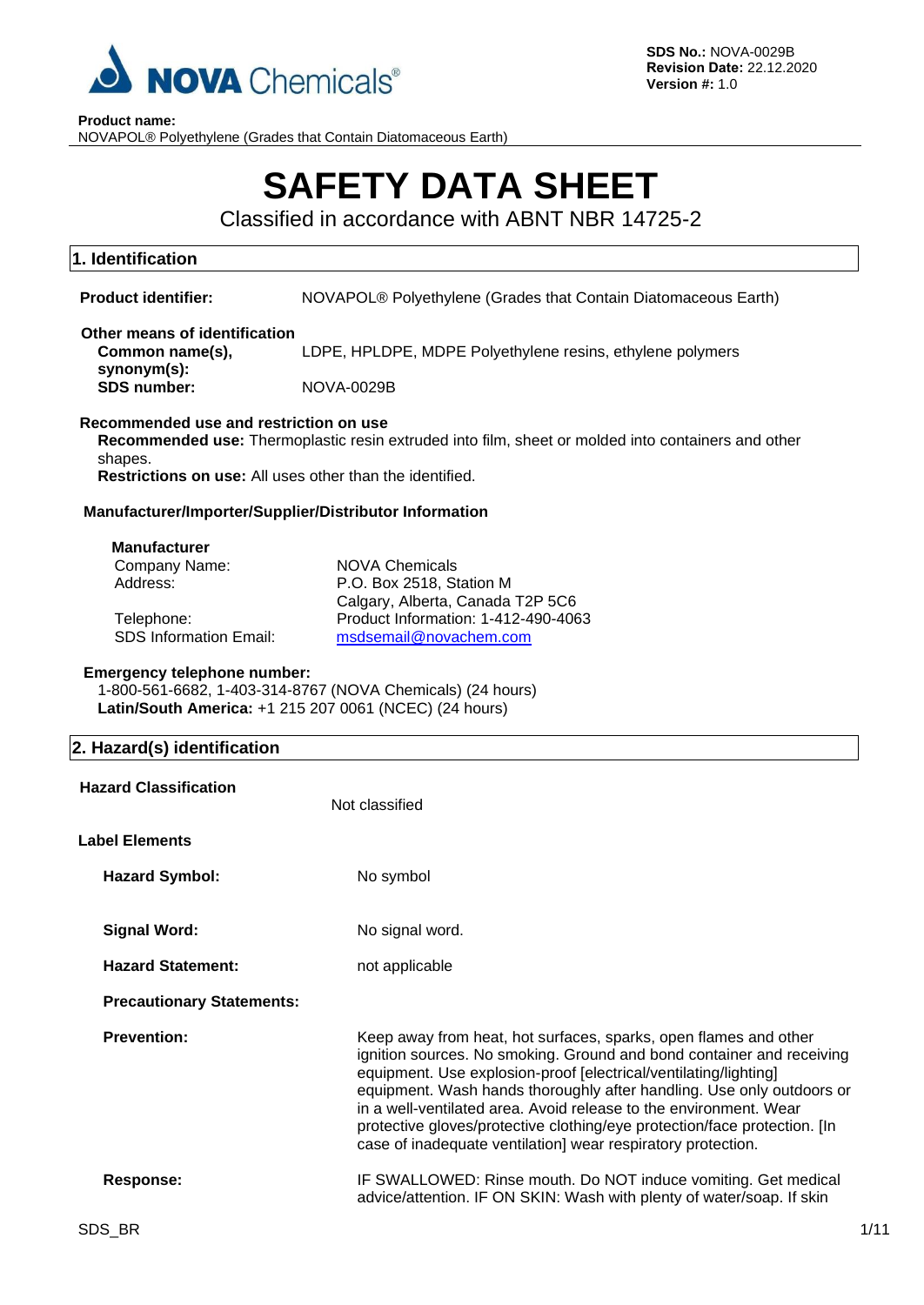

# **SAFETY DATA SHEET**

Classified in accordance with ABNT NBR 14725-2

| <b>Product identifier:</b>                                                                                    | NOVAPOL® Polyethylene (Grades that Contain Diatomaceous Earth)                                                                                                                                                                                                                                                                                                                                                                                                                                           |
|---------------------------------------------------------------------------------------------------------------|----------------------------------------------------------------------------------------------------------------------------------------------------------------------------------------------------------------------------------------------------------------------------------------------------------------------------------------------------------------------------------------------------------------------------------------------------------------------------------------------------------|
| Other means of identification<br>Common name(s),<br>synonym(s):<br><b>SDS number:</b>                         | LDPE, HPLDPE, MDPE Polyethylene resins, ethylene polymers<br><b>NOVA-0029B</b>                                                                                                                                                                                                                                                                                                                                                                                                                           |
|                                                                                                               |                                                                                                                                                                                                                                                                                                                                                                                                                                                                                                          |
| Recommended use and restriction on use<br>shapes.<br>Restrictions on use: All uses other than the identified. | Recommended use: Thermoplastic resin extruded into film, sheet or molded into containers and other                                                                                                                                                                                                                                                                                                                                                                                                       |
| Manufacturer/Importer/Supplier/Distributor Information                                                        |                                                                                                                                                                                                                                                                                                                                                                                                                                                                                                          |
| <b>Manufacturer</b><br>Company Name:<br>Address:<br>Telephone:<br><b>SDS Information Email:</b>               | <b>NOVA Chemicals</b><br>P.O. Box 2518, Station M<br>Calgary, Alberta, Canada T2P 5C6<br>Product Information: 1-412-490-4063<br>msdsemail@novachem.com                                                                                                                                                                                                                                                                                                                                                   |
| Emergency telephone number:                                                                                   | 1-800-561-6682, 1-403-314-8767 (NOVA Chemicals) (24 hours)<br>Latin/South America: +1 215 207 0061 (NCEC) (24 hours)                                                                                                                                                                                                                                                                                                                                                                                     |
| 2. Hazard(s) identification                                                                                   |                                                                                                                                                                                                                                                                                                                                                                                                                                                                                                          |
| <b>Hazard Classification</b>                                                                                  | Not classified                                                                                                                                                                                                                                                                                                                                                                                                                                                                                           |
| <b>Label Elements</b>                                                                                         |                                                                                                                                                                                                                                                                                                                                                                                                                                                                                                          |
|                                                                                                               |                                                                                                                                                                                                                                                                                                                                                                                                                                                                                                          |
| <b>Hazard Symbol:</b>                                                                                         | No symbol                                                                                                                                                                                                                                                                                                                                                                                                                                                                                                |
| <b>Signal Word:</b>                                                                                           | No signal word.                                                                                                                                                                                                                                                                                                                                                                                                                                                                                          |
| <b>Hazard Statement:</b>                                                                                      | not applicable                                                                                                                                                                                                                                                                                                                                                                                                                                                                                           |
| <b>Precautionary Statements:</b>                                                                              |                                                                                                                                                                                                                                                                                                                                                                                                                                                                                                          |
| <b>Prevention:</b>                                                                                            | Keep away from heat, hot surfaces, sparks, open flames and other<br>ignition sources. No smoking. Ground and bond container and receiving<br>equipment. Use explosion-proof [electrical/ventilating/lighting]<br>equipment. Wash hands thoroughly after handling. Use only outdoors or<br>in a well-ventilated area. Avoid release to the environment. Wear<br>protective gloves/protective clothing/eye protection/face protection. [In<br>case of inadequate ventilation] wear respiratory protection. |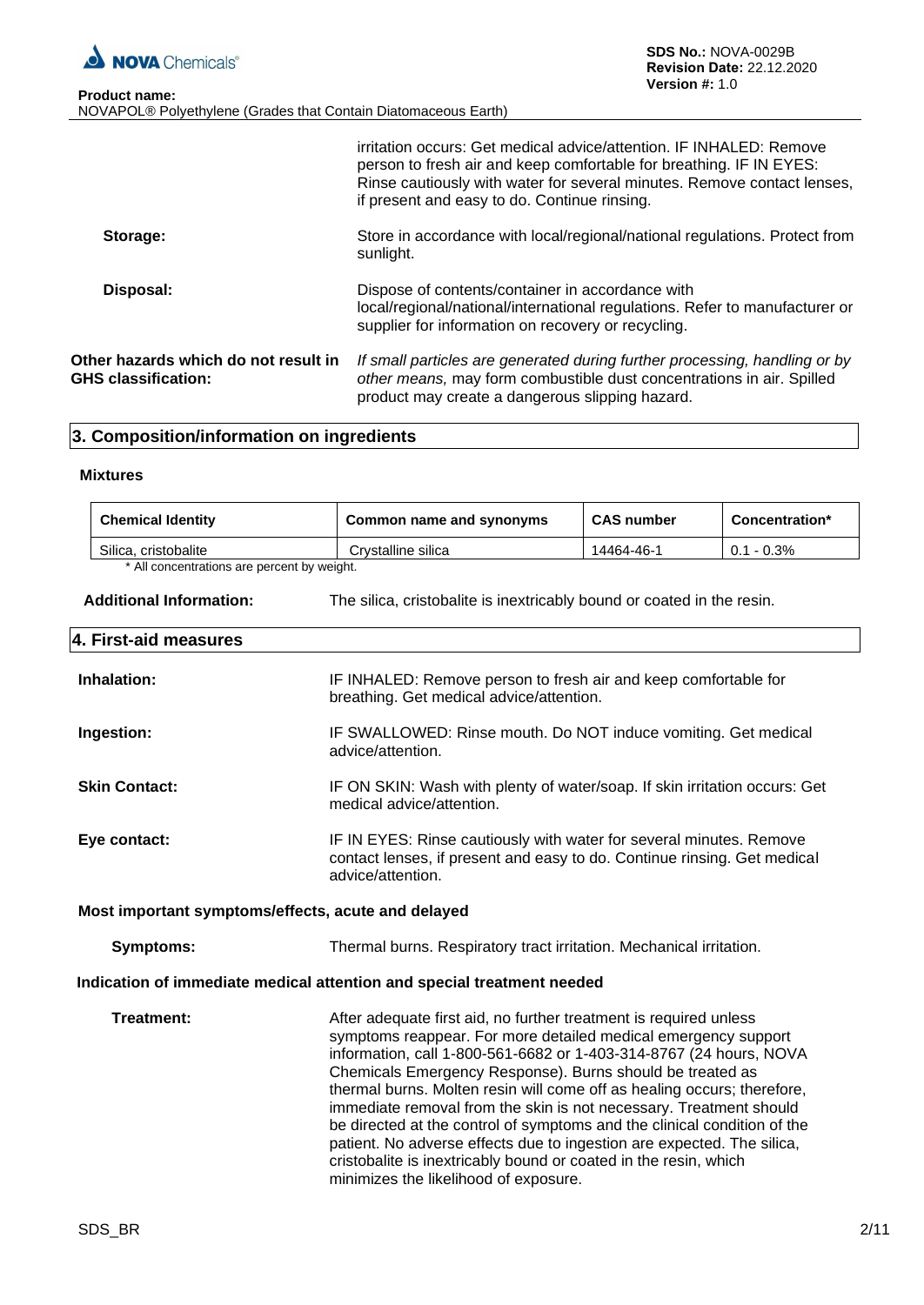

|                                                                    | irritation occurs: Get medical advice/attention. IF INHALED: Remove<br>person to fresh air and keep comfortable for breathing. IF IN EYES:<br>Rinse cautiously with water for several minutes. Remove contact lenses,<br>if present and easy to do. Continue rinsing. |
|--------------------------------------------------------------------|-----------------------------------------------------------------------------------------------------------------------------------------------------------------------------------------------------------------------------------------------------------------------|
| Storage:                                                           | Store in accordance with local/regional/national regulations. Protect from<br>sunlight.                                                                                                                                                                               |
| Disposal:                                                          | Dispose of contents/container in accordance with<br>local/regional/national/international regulations. Refer to manufacturer or<br>supplier for information on recovery or recycling.                                                                                 |
| Other hazards which do not result in<br><b>GHS classification:</b> | If small particles are generated during further processing, handling or by<br>other means, may form combustible dust concentrations in air. Spilled<br>product may create a dangerous slipping hazard.                                                                |

# **3. Composition/information on ingredients**

#### **Mixtures**

|                                                                        | <b>Chemical Identity</b>                    | Common name and synonyms                                                                                                                                                                                                                                                                                                                                                                                                                                                                                                                                                                                                                                                                   | <b>CAS number</b> | Concentration* |
|------------------------------------------------------------------------|---------------------------------------------|--------------------------------------------------------------------------------------------------------------------------------------------------------------------------------------------------------------------------------------------------------------------------------------------------------------------------------------------------------------------------------------------------------------------------------------------------------------------------------------------------------------------------------------------------------------------------------------------------------------------------------------------------------------------------------------------|-------------------|----------------|
|                                                                        | Silica, cristobalite                        | Crystalline silica                                                                                                                                                                                                                                                                                                                                                                                                                                                                                                                                                                                                                                                                         | 14464-46-1        | $0.1 - 0.3\%$  |
|                                                                        | * All concentrations are percent by weight. |                                                                                                                                                                                                                                                                                                                                                                                                                                                                                                                                                                                                                                                                                            |                   |                |
|                                                                        | <b>Additional Information:</b>              | The silica, cristobalite is inextricably bound or coated in the resin.                                                                                                                                                                                                                                                                                                                                                                                                                                                                                                                                                                                                                     |                   |                |
|                                                                        | 4. First-aid measures                       |                                                                                                                                                                                                                                                                                                                                                                                                                                                                                                                                                                                                                                                                                            |                   |                |
|                                                                        | Inhalation:                                 | IF INHALED: Remove person to fresh air and keep comfortable for<br>breathing. Get medical advice/attention.                                                                                                                                                                                                                                                                                                                                                                                                                                                                                                                                                                                |                   |                |
|                                                                        | Ingestion:                                  | IF SWALLOWED: Rinse mouth. Do NOT induce vomiting. Get medical<br>advice/attention.                                                                                                                                                                                                                                                                                                                                                                                                                                                                                                                                                                                                        |                   |                |
|                                                                        | <b>Skin Contact:</b>                        | IF ON SKIN: Wash with plenty of water/soap. If skin irritation occurs: Get<br>medical advice/attention.                                                                                                                                                                                                                                                                                                                                                                                                                                                                                                                                                                                    |                   |                |
|                                                                        | Eye contact:                                | IF IN EYES: Rinse cautiously with water for several minutes. Remove<br>contact lenses, if present and easy to do. Continue rinsing. Get medical<br>advice/attention.                                                                                                                                                                                                                                                                                                                                                                                                                                                                                                                       |                   |                |
| Most important symptoms/effects, acute and delayed                     |                                             |                                                                                                                                                                                                                                                                                                                                                                                                                                                                                                                                                                                                                                                                                            |                   |                |
|                                                                        | <b>Symptoms:</b>                            | Thermal burns. Respiratory tract irritation. Mechanical irritation.                                                                                                                                                                                                                                                                                                                                                                                                                                                                                                                                                                                                                        |                   |                |
| Indication of immediate medical attention and special treatment needed |                                             |                                                                                                                                                                                                                                                                                                                                                                                                                                                                                                                                                                                                                                                                                            |                   |                |
|                                                                        | <b>Treatment:</b>                           | After adequate first aid, no further treatment is required unless<br>symptoms reappear. For more detailed medical emergency support<br>information, call 1-800-561-6682 or 1-403-314-8767 (24 hours, NOVA<br>Chemicals Emergency Response). Burns should be treated as<br>thermal burns. Molten resin will come off as healing occurs; therefore,<br>immediate removal from the skin is not necessary. Treatment should<br>be directed at the control of symptoms and the clinical condition of the<br>patient. No adverse effects due to ingestion are expected. The silica,<br>cristobalite is inextricably bound or coated in the resin, which<br>minimizes the likelihood of exposure. |                   |                |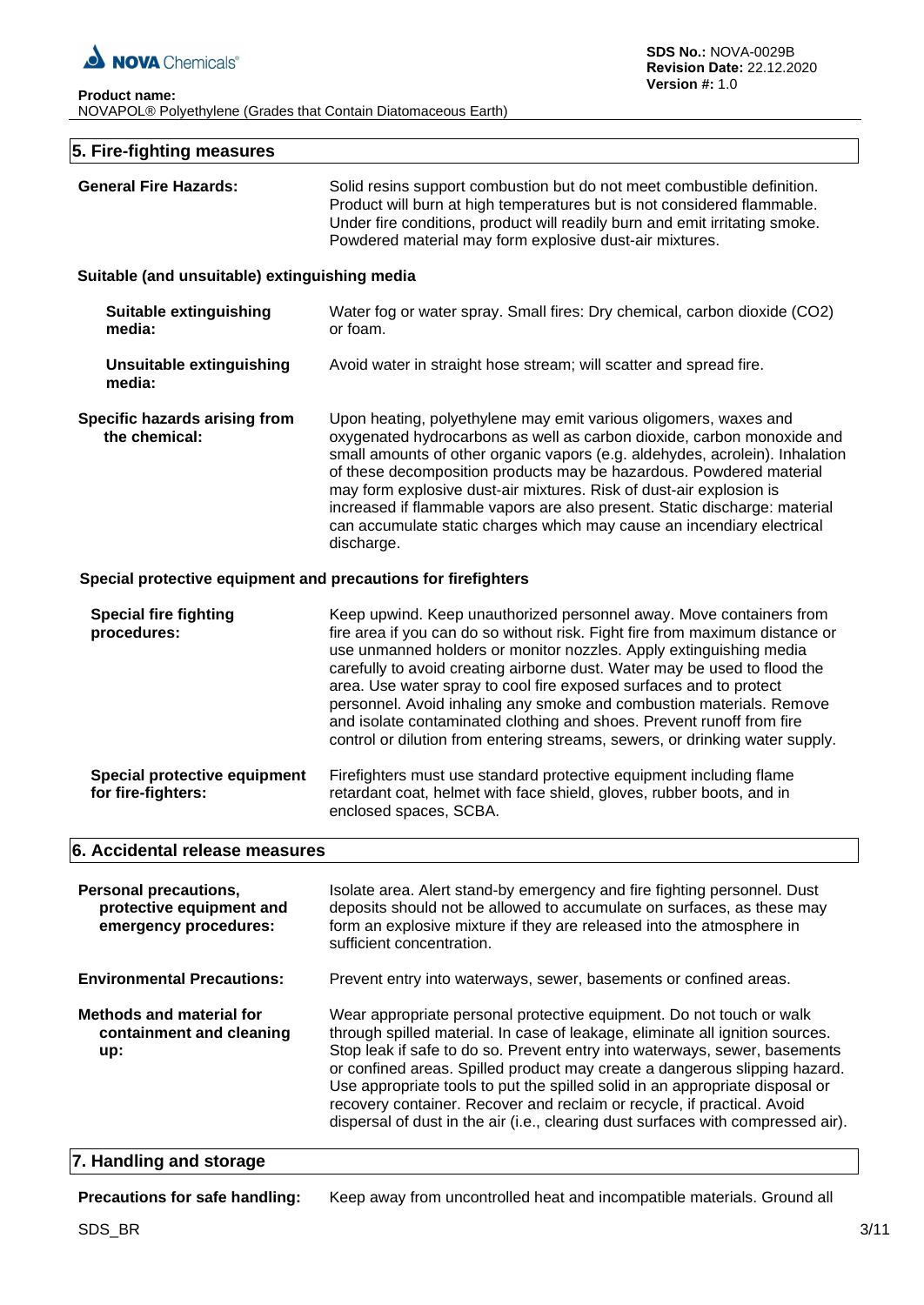

| 5. Fire-fighting measures                                                         |                                                                                                                                                                                                                                                                                                                                                                                                                                                                                                                                                                                                               |
|-----------------------------------------------------------------------------------|---------------------------------------------------------------------------------------------------------------------------------------------------------------------------------------------------------------------------------------------------------------------------------------------------------------------------------------------------------------------------------------------------------------------------------------------------------------------------------------------------------------------------------------------------------------------------------------------------------------|
| <b>General Fire Hazards:</b>                                                      | Solid resins support combustion but do not meet combustible definition.<br>Product will burn at high temperatures but is not considered flammable.<br>Under fire conditions, product will readily burn and emit irritating smoke.<br>Powdered material may form explosive dust-air mixtures.                                                                                                                                                                                                                                                                                                                  |
| Suitable (and unsuitable) extinguishing media                                     |                                                                                                                                                                                                                                                                                                                                                                                                                                                                                                                                                                                                               |
| <b>Suitable extinguishing</b><br>media:                                           | Water fog or water spray. Small fires: Dry chemical, carbon dioxide (CO2)<br>or foam.                                                                                                                                                                                                                                                                                                                                                                                                                                                                                                                         |
| <b>Unsuitable extinguishing</b><br>media:                                         | Avoid water in straight hose stream; will scatter and spread fire.                                                                                                                                                                                                                                                                                                                                                                                                                                                                                                                                            |
| Specific hazards arising from<br>the chemical:                                    | Upon heating, polyethylene may emit various oligomers, waxes and<br>oxygenated hydrocarbons as well as carbon dioxide, carbon monoxide and<br>small amounts of other organic vapors (e.g. aldehydes, acrolein). Inhalation<br>of these decomposition products may be hazardous. Powdered material<br>may form explosive dust-air mixtures. Risk of dust-air explosion is<br>increased if flammable vapors are also present. Static discharge: material<br>can accumulate static charges which may cause an incendiary electrical<br>discharge.                                                                |
| Special protective equipment and precautions for firefighters                     |                                                                                                                                                                                                                                                                                                                                                                                                                                                                                                                                                                                                               |
| <b>Special fire fighting</b><br>procedures:                                       | Keep upwind. Keep unauthorized personnel away. Move containers from<br>fire area if you can do so without risk. Fight fire from maximum distance or<br>use unmanned holders or monitor nozzles. Apply extinguishing media<br>carefully to avoid creating airborne dust. Water may be used to flood the<br>area. Use water spray to cool fire exposed surfaces and to protect<br>personnel. Avoid inhaling any smoke and combustion materials. Remove<br>and isolate contaminated clothing and shoes. Prevent runoff from fire<br>control or dilution from entering streams, sewers, or drinking water supply. |
| <b>Special protective equipment</b><br>for fire-fighters:                         | Firefighters must use standard protective equipment including flame<br>retardant coat, helmet with face shield, gloves, rubber boots, and in<br>enclosed spaces, SCBA.                                                                                                                                                                                                                                                                                                                                                                                                                                        |
| 6. Accidental release measures                                                    |                                                                                                                                                                                                                                                                                                                                                                                                                                                                                                                                                                                                               |
| <b>Personal precautions,</b><br>protective equipment and<br>emergency procedures: | Isolate area. Alert stand-by emergency and fire fighting personnel. Dust<br>deposits should not be allowed to accumulate on surfaces, as these may<br>form an explosive mixture if they are released into the atmosphere in<br>sufficient concentration.                                                                                                                                                                                                                                                                                                                                                      |
| <b>Environmental Precautions:</b>                                                 | Prevent entry into waterways, sewer, basements or confined areas.                                                                                                                                                                                                                                                                                                                                                                                                                                                                                                                                             |
| <b>Methods and material for</b><br>containment and cleaning<br>up:                | Wear appropriate personal protective equipment. Do not touch or walk<br>through spilled material. In case of leakage, eliminate all ignition sources.<br>Stop leak if safe to do so. Prevent entry into waterways, sewer, basements<br>or confined areas. Spilled product may create a dangerous slipping hazard.<br>Use appropriate tools to put the spilled solid in an appropriate disposal or<br>recovery container. Recover and reclaim or recycle, if practical. Avoid<br>dispersal of dust in the air (i.e., clearing dust surfaces with compressed air).                                              |
| 7. Handling and storage                                                           |                                                                                                                                                                                                                                                                                                                                                                                                                                                                                                                                                                                                               |
|                                                                                   |                                                                                                                                                                                                                                                                                                                                                                                                                                                                                                                                                                                                               |

**Precautions for safe handling:** Keep away from uncontrolled heat and incompatible materials. Ground all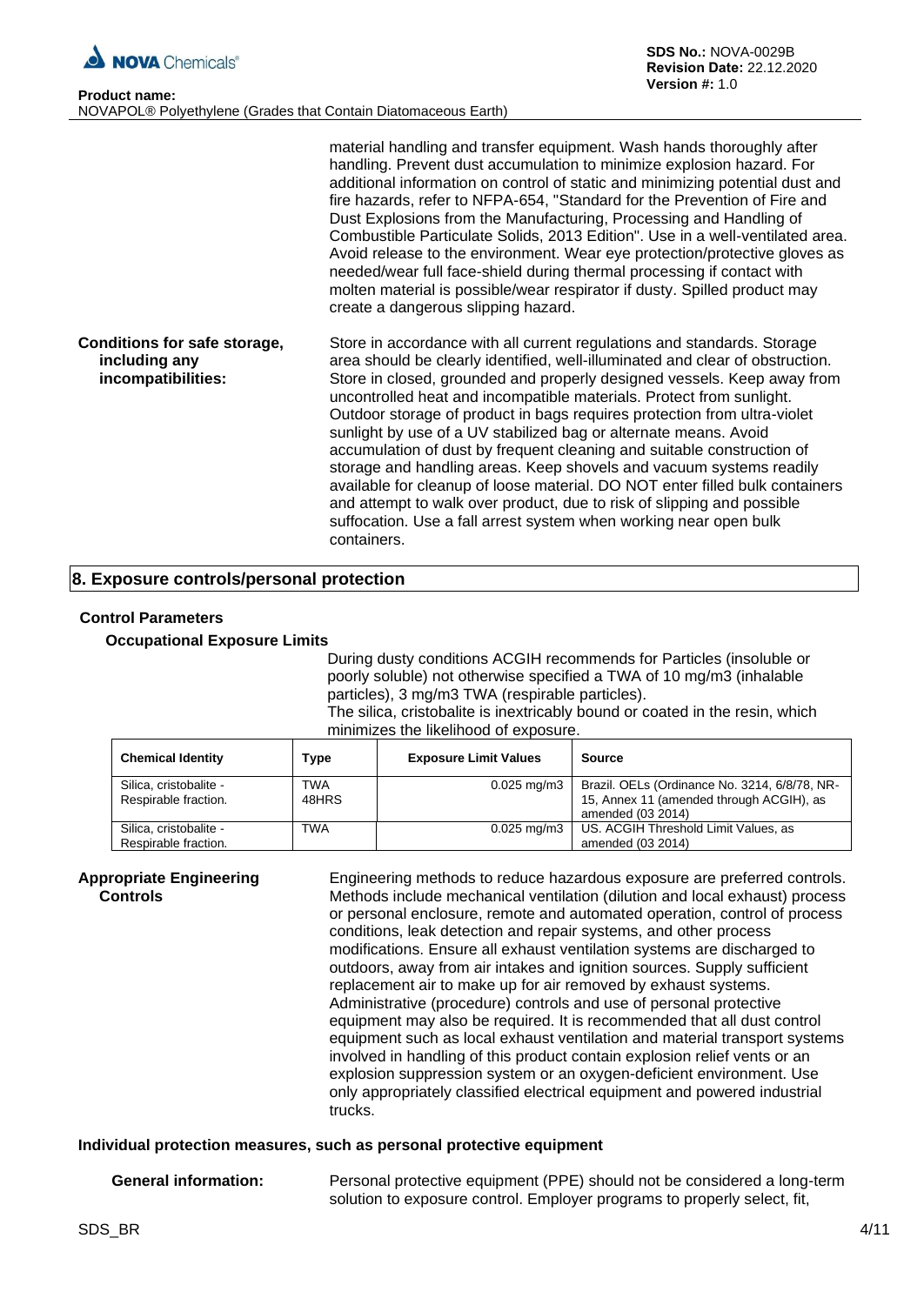

|                                                                     | material handling and transfer equipment. Wash hands thoroughly after<br>handling. Prevent dust accumulation to minimize explosion hazard. For<br>additional information on control of static and minimizing potential dust and<br>fire hazards, refer to NFPA-654, "Standard for the Prevention of Fire and<br>Dust Explosions from the Manufacturing, Processing and Handling of<br>Combustible Particulate Solids, 2013 Edition". Use in a well-ventilated area.<br>Avoid release to the environment. Wear eye protection/protective gloves as<br>needed/wear full face-shield during thermal processing if contact with<br>molten material is possible/wear respirator if dusty. Spilled product may<br>create a dangerous slipping hazard.                                                                                                            |
|---------------------------------------------------------------------|------------------------------------------------------------------------------------------------------------------------------------------------------------------------------------------------------------------------------------------------------------------------------------------------------------------------------------------------------------------------------------------------------------------------------------------------------------------------------------------------------------------------------------------------------------------------------------------------------------------------------------------------------------------------------------------------------------------------------------------------------------------------------------------------------------------------------------------------------------|
| Conditions for safe storage,<br>including any<br>incompatibilities: | Store in accordance with all current regulations and standards. Storage<br>area should be clearly identified, well-illuminated and clear of obstruction.<br>Store in closed, grounded and properly designed vessels. Keep away from<br>uncontrolled heat and incompatible materials. Protect from sunlight.<br>Outdoor storage of product in bags requires protection from ultra-violet<br>sunlight by use of a UV stabilized bag or alternate means. Avoid<br>accumulation of dust by frequent cleaning and suitable construction of<br>storage and handling areas. Keep shovels and vacuum systems readily<br>available for cleanup of loose material. DO NOT enter filled bulk containers<br>and attempt to walk over product, due to risk of slipping and possible<br>suffocation. Use a fall arrest system when working near open bulk<br>containers. |

# **8. Exposure controls/personal protection**

# **Control Parameters**

# **Occupational Exposure Limits**

During dusty conditions ACGIH recommends for Particles (insoluble or poorly soluble) not otherwise specified a TWA of 10 mg/m3 (inhalable particles), 3 mg/m3 TWA (respirable particles). The silica, cristobalite is inextricably bound or coated in the resin, which minimizes the likelihood of exposure.

| <b>Chemical Identity</b>                       | Type                | <b>Exposure Limit Values</b> | <b>Source</b>                                                                                                  |
|------------------------------------------------|---------------------|------------------------------|----------------------------------------------------------------------------------------------------------------|
| Silica, cristobalite -<br>Respirable fraction. | <b>TWA</b><br>48HRS | $0.025 \,\mathrm{mg/m3}$     | Brazil. OELs (Ordinance No. 3214, 6/8/78, NR-<br>15, Annex 11 (amended through ACGIH), as<br>amended (03 2014) |
| Silica, cristobalite -<br>Respirable fraction. | <b>TWA</b>          | $0.025 \,\mathrm{mq/m3}$     | US. ACGIH Threshold Limit Values, as<br>amended (03 2014)                                                      |

**Appropriate Engineering Controls** Engineering methods to reduce hazardous exposure are preferred controls. Methods include mechanical ventilation (dilution and local exhaust) process or personal enclosure, remote and automated operation, control of process conditions, leak detection and repair systems, and other process modifications. Ensure all exhaust ventilation systems are discharged to outdoors, away from air intakes and ignition sources. Supply sufficient replacement air to make up for air removed by exhaust systems. Administrative (procedure) controls and use of personal protective equipment may also be required. It is recommended that all dust control equipment such as local exhaust ventilation and material transport systems involved in handling of this product contain explosion relief vents or an explosion suppression system or an oxygen-deficient environment. Use only appropriately classified electrical equipment and powered industrial trucks.

## **Individual protection measures, such as personal protective equipment**

General information: Personal protective equipment (PPE) should not be considered a long-term solution to exposure control. Employer programs to properly select, fit,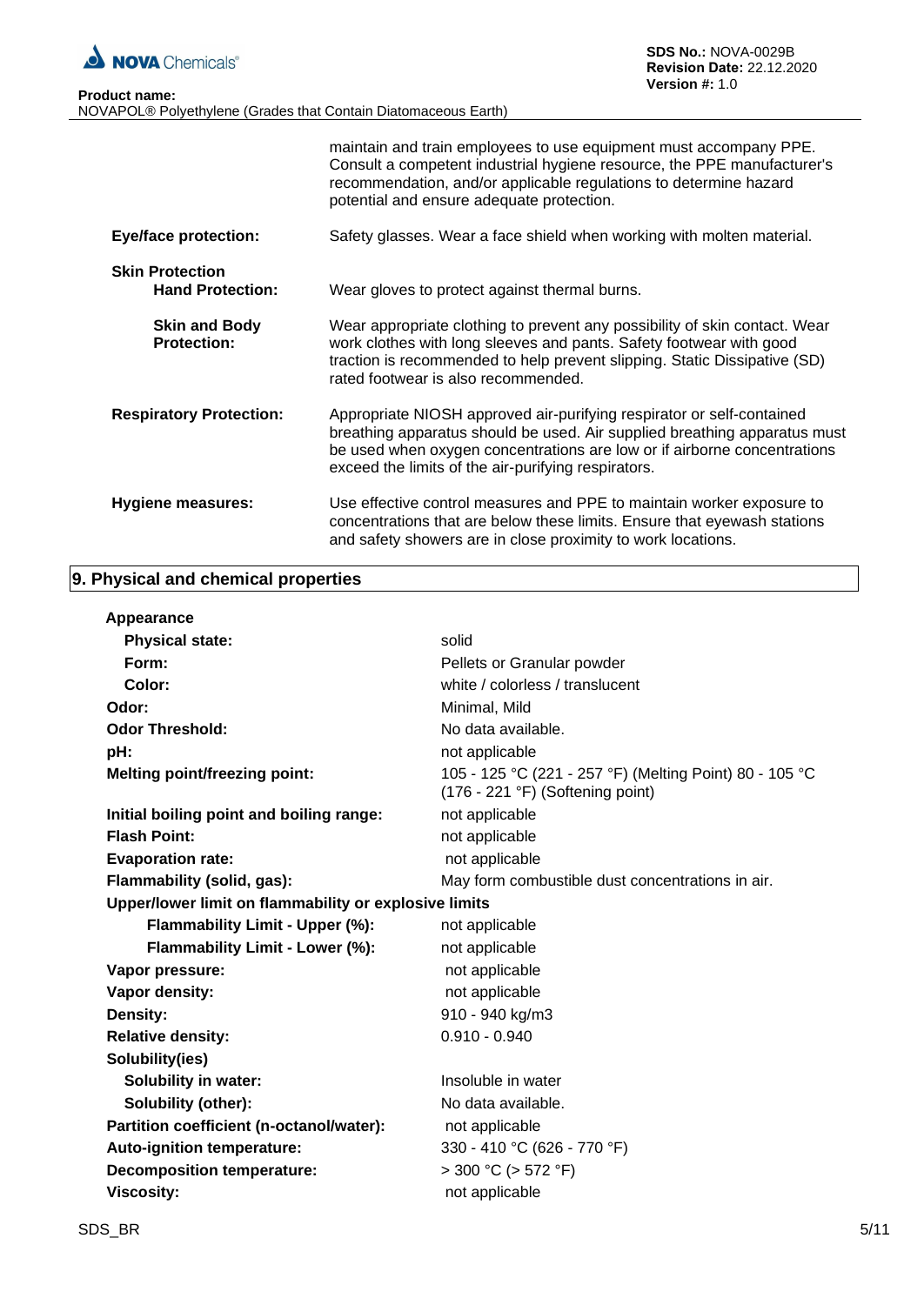

|                                                   | maintain and train employees to use equipment must accompany PPE.<br>Consult a competent industrial hygiene resource, the PPE manufacturer's<br>recommendation, and/or applicable regulations to determine hazard<br>potential and ensure adequate protection.                        |
|---------------------------------------------------|---------------------------------------------------------------------------------------------------------------------------------------------------------------------------------------------------------------------------------------------------------------------------------------|
| <b>Eye/face protection:</b>                       | Safety glasses. Wear a face shield when working with molten material.                                                                                                                                                                                                                 |
| <b>Skin Protection</b><br><b>Hand Protection:</b> | Wear gloves to protect against thermal burns.                                                                                                                                                                                                                                         |
| <b>Skin and Body</b><br><b>Protection:</b>        | Wear appropriate clothing to prevent any possibility of skin contact. Wear<br>work clothes with long sleeves and pants. Safety footwear with good<br>traction is recommended to help prevent slipping. Static Dissipative (SD)<br>rated footwear is also recommended.                 |
| <b>Respiratory Protection:</b>                    | Appropriate NIOSH approved air-purifying respirator or self-contained<br>breathing apparatus should be used. Air supplied breathing apparatus must<br>be used when oxygen concentrations are low or if airborne concentrations<br>exceed the limits of the air-purifying respirators. |
| Hygiene measures:                                 | Use effective control measures and PPE to maintain worker exposure to<br>concentrations that are below these limits. Ensure that eyewash stations<br>and safety showers are in close proximity to work locations.                                                                     |

# **9. Physical and chemical properties**

| Appearance                                            |                                                                                             |
|-------------------------------------------------------|---------------------------------------------------------------------------------------------|
| <b>Physical state:</b>                                | solid                                                                                       |
| Form:                                                 | Pellets or Granular powder                                                                  |
| Color:                                                | white / colorless / translucent                                                             |
| Odor:                                                 | Minimal, Mild                                                                               |
| <b>Odor Threshold:</b>                                | No data available.                                                                          |
| pH:                                                   | not applicable                                                                              |
| <b>Melting point/freezing point:</b>                  | 105 - 125 °C (221 - 257 °F) (Melting Point) 80 - 105 °C<br>(176 - 221 °F) (Softening point) |
| Initial boiling point and boiling range:              | not applicable                                                                              |
| <b>Flash Point:</b>                                   | not applicable                                                                              |
| <b>Evaporation rate:</b>                              | not applicable                                                                              |
| Flammability (solid, gas):                            | May form combustible dust concentrations in air.                                            |
| Upper/lower limit on flammability or explosive limits |                                                                                             |
| Flammability Limit - Upper (%):                       | not applicable                                                                              |
| Flammability Limit - Lower (%):                       | not applicable                                                                              |
| Vapor pressure:                                       | not applicable                                                                              |
| Vapor density:                                        | not applicable                                                                              |
| Density:                                              | 910 - 940 kg/m3                                                                             |
| <b>Relative density:</b>                              | $0.910 - 0.940$                                                                             |
| Solubility(ies)                                       |                                                                                             |
| <b>Solubility in water:</b>                           | Insoluble in water                                                                          |
| Solubility (other):                                   | No data available.                                                                          |
| Partition coefficient (n-octanol/water):              | not applicable                                                                              |
| Auto-ignition temperature:                            | 330 - 410 °C (626 - 770 °F)                                                                 |
| <b>Decomposition temperature:</b>                     | $>$ 300 °C ( $>$ 572 °F)                                                                    |
| <b>Viscosity:</b>                                     | not applicable                                                                              |
|                                                       |                                                                                             |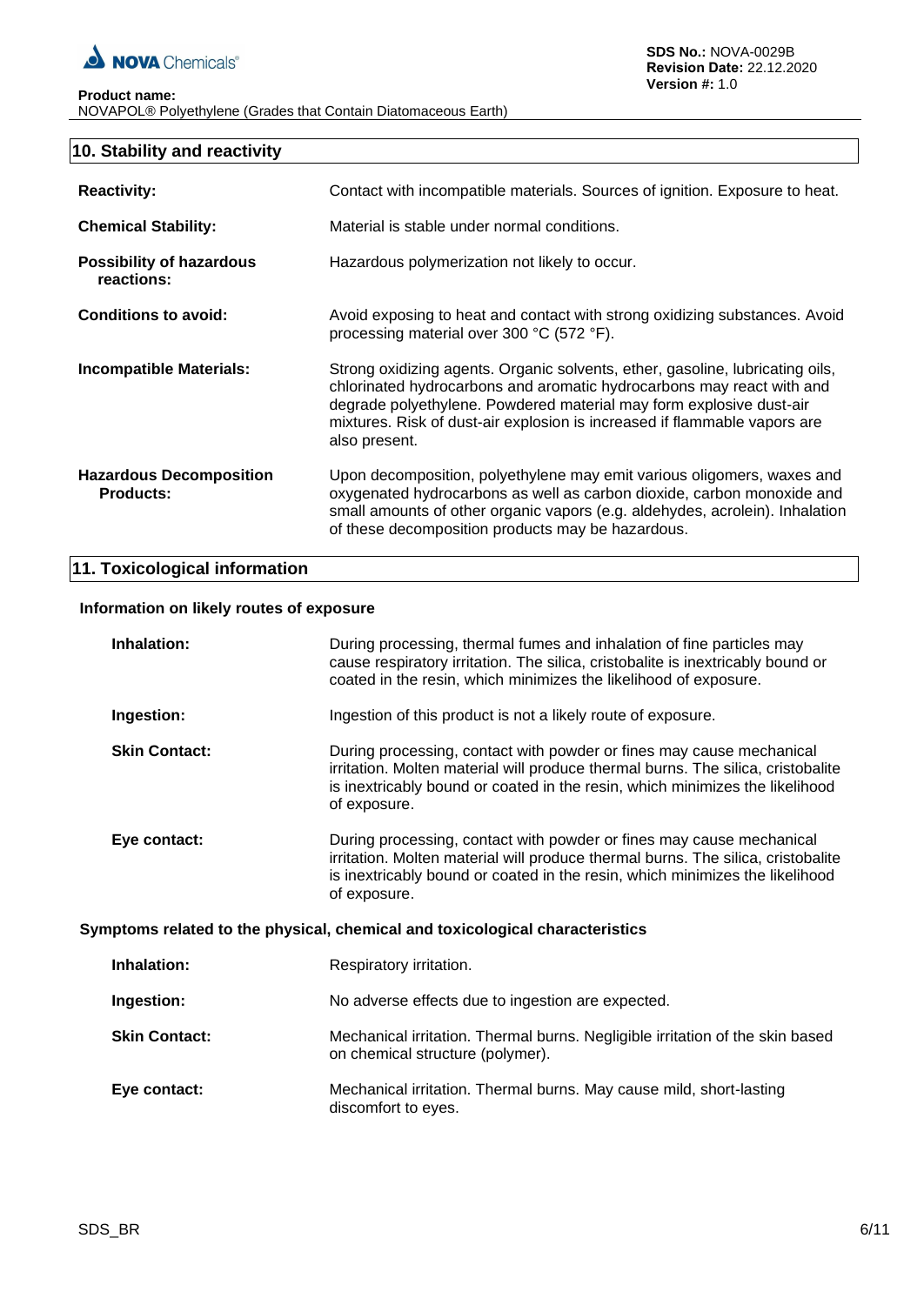

**SDS No.:** NOVA-0029B **Revision Date:** 22.12.2020 **Version #:** 1.0

# **10. Stability and reactivity**

| <b>Reactivity:</b>                                 | Contact with incompatible materials. Sources of ignition. Exposure to heat.                                                                                                                                                                                                                                                 |
|----------------------------------------------------|-----------------------------------------------------------------------------------------------------------------------------------------------------------------------------------------------------------------------------------------------------------------------------------------------------------------------------|
| <b>Chemical Stability:</b>                         | Material is stable under normal conditions.                                                                                                                                                                                                                                                                                 |
| <b>Possibility of hazardous</b><br>reactions:      | Hazardous polymerization not likely to occur.                                                                                                                                                                                                                                                                               |
| <b>Conditions to avoid:</b>                        | Avoid exposing to heat and contact with strong oxidizing substances. Avoid<br>processing material over 300 °C (572 °F).                                                                                                                                                                                                     |
| Incompatible Materials:                            | Strong oxidizing agents. Organic solvents, ether, gasoline, lubricating oils,<br>chlorinated hydrocarbons and aromatic hydrocarbons may react with and<br>degrade polyethylene. Powdered material may form explosive dust-air<br>mixtures. Risk of dust-air explosion is increased if flammable vapors are<br>also present. |
| <b>Hazardous Decomposition</b><br><b>Products:</b> | Upon decomposition, polyethylene may emit various oligomers, waxes and<br>oxygenated hydrocarbons as well as carbon dioxide, carbon monoxide and<br>small amounts of other organic vapors (e.g. aldehydes, acrolein). Inhalation<br>of these decomposition products may be hazardous.                                       |

# **11. Toxicological information**

# **Information on likely routes of exposure**

| Inhalation:          | During processing, thermal fumes and inhalation of fine particles may                                                                                                                                                                                    |
|----------------------|----------------------------------------------------------------------------------------------------------------------------------------------------------------------------------------------------------------------------------------------------------|
|                      | cause respiratory irritation. The silica, cristobalite is inextricably bound or<br>coated in the resin, which minimizes the likelihood of exposure.                                                                                                      |
| Ingestion:           | Ingestion of this product is not a likely route of exposure.                                                                                                                                                                                             |
| <b>Skin Contact:</b> | During processing, contact with powder or fines may cause mechanical<br>irritation. Molten material will produce thermal burns. The silica, cristobalite<br>is inextricably bound or coated in the resin, which minimizes the likelihood<br>of exposure. |
| Eye contact:         | During processing, contact with powder or fines may cause mechanical<br>irritation. Molten material will produce thermal burns. The silica, cristobalite<br>is inextricably bound or coated in the resin, which minimizes the likelihood<br>of exposure. |
|                      | Symptoms related to the physical, chemical and toxicological characteristics                                                                                                                                                                             |
| Inhalation:          | Respiratory irritation.                                                                                                                                                                                                                                  |
| Ingestion:           | No adverse effects due to ingestion are expected.                                                                                                                                                                                                        |
| <b>Skin Contact:</b> | Mechanical irritation. Thermal burns. Negligible irritation of the skin based<br>on chemical structure (polymer).                                                                                                                                        |
| Eye contact:         | Mechanical irritation. Thermal burns. May cause mild, short-lasting<br>discomfort to eyes.                                                                                                                                                               |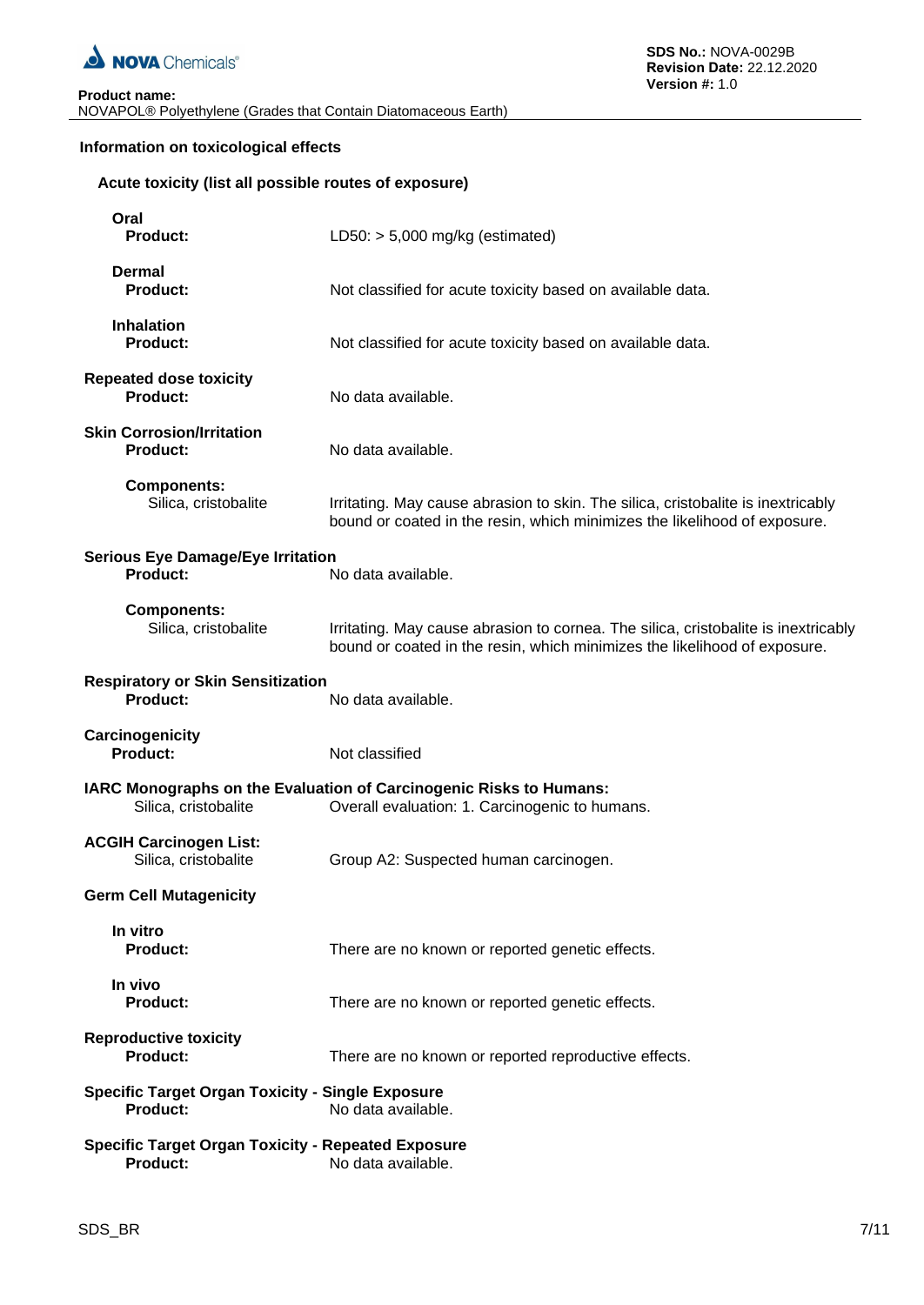

# **Information on toxicological effects**

# **Acute toxicity (list all possible routes of exposure)**

| Oral<br><b>Product:</b>                                                      | LD50: $> 5,000$ mg/kg (estimated)                                                                                                                               |
|------------------------------------------------------------------------------|-----------------------------------------------------------------------------------------------------------------------------------------------------------------|
| Dermal<br><b>Product:</b>                                                    | Not classified for acute toxicity based on available data.                                                                                                      |
| <b>Inhalation</b><br><b>Product:</b>                                         | Not classified for acute toxicity based on available data.                                                                                                      |
| <b>Repeated dose toxicity</b><br>Product:                                    | No data available.                                                                                                                                              |
| <b>Skin Corrosion/Irritation</b><br><b>Product:</b>                          | No data available.                                                                                                                                              |
| <b>Components:</b><br>Silica, cristobalite                                   | Irritating. May cause abrasion to skin. The silica, cristobalite is inextricably<br>bound or coated in the resin, which minimizes the likelihood of exposure.   |
| <b>Serious Eye Damage/Eye Irritation</b><br><b>Product:</b>                  | No data available.                                                                                                                                              |
| <b>Components:</b><br>Silica, cristobalite                                   | Irritating. May cause abrasion to cornea. The silica, cristobalite is inextricably<br>bound or coated in the resin, which minimizes the likelihood of exposure. |
| <b>Respiratory or Skin Sensitization</b><br><b>Product:</b>                  | No data available.                                                                                                                                              |
| Carcinogenicity<br>Product:                                                  | Not classified                                                                                                                                                  |
| Silica, cristobalite                                                         | <b>IARC Monographs on the Evaluation of Carcinogenic Risks to Humans:</b><br>Overall evaluation: 1. Carcinogenic to humans.                                     |
| <b>ACGIH Carcinogen List:</b><br>Silica, cristobalite                        | Group A2: Suspected human carcinogen.                                                                                                                           |
| <b>Germ Cell Mutagenicity</b>                                                |                                                                                                                                                                 |
| In vitro<br>Product:                                                         | There are no known or reported genetic effects.                                                                                                                 |
| In vivo<br><b>Product:</b>                                                   | There are no known or reported genetic effects.                                                                                                                 |
| <b>Reproductive toxicity</b><br><b>Product:</b>                              | There are no known or reported reproductive effects.                                                                                                            |
| <b>Specific Target Organ Toxicity - Single Exposure</b><br><b>Product:</b>   | No data available.                                                                                                                                              |
| <b>Specific Target Organ Toxicity - Repeated Exposure</b><br><b>Product:</b> | No data available.                                                                                                                                              |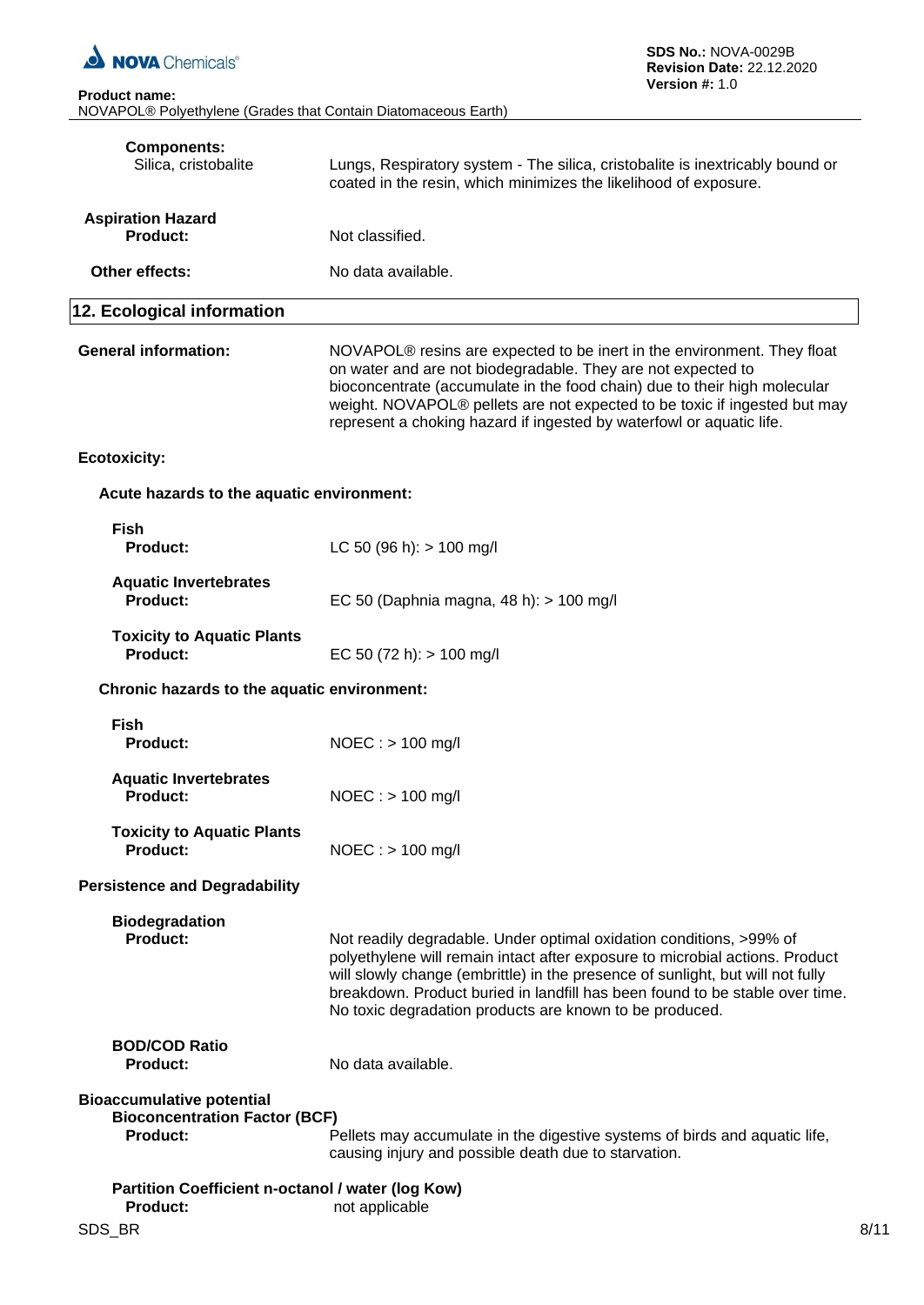

| <b>Product name:</b>                                           |
|----------------------------------------------------------------|
| NOVAPOL® Polyethylene (Grades that Contain Diatomaceous Earth) |

| <b>Components:</b><br>Silica, cristobalite                                           | Lungs, Respiratory system - The silica, cristobalite is inextricably bound or<br>coated in the resin, which minimizes the likelihood of exposure.                                                                                                                                                                                                                                     |
|--------------------------------------------------------------------------------------|---------------------------------------------------------------------------------------------------------------------------------------------------------------------------------------------------------------------------------------------------------------------------------------------------------------------------------------------------------------------------------------|
| <b>Aspiration Hazard</b><br>Product:                                                 | Not classified.                                                                                                                                                                                                                                                                                                                                                                       |
| Other effects:                                                                       | No data available.                                                                                                                                                                                                                                                                                                                                                                    |
| 12. Ecological information                                                           |                                                                                                                                                                                                                                                                                                                                                                                       |
| <b>General information:</b>                                                          | NOVAPOL <sup>®</sup> resins are expected to be inert in the environment. They float<br>on water and are not biodegradable. They are not expected to<br>bioconcentrate (accumulate in the food chain) due to their high molecular<br>weight. NOVAPOL® pellets are not expected to be toxic if ingested but may<br>represent a choking hazard if ingested by waterfowl or aquatic life. |
| <b>Ecotoxicity:</b>                                                                  |                                                                                                                                                                                                                                                                                                                                                                                       |
| Acute hazards to the aquatic environment:                                            |                                                                                                                                                                                                                                                                                                                                                                                       |
| <b>Fish</b><br><b>Product:</b>                                                       | LC 50 (96 h): $> 100$ mg/l                                                                                                                                                                                                                                                                                                                                                            |
| <b>Aquatic Invertebrates</b><br>Product:                                             | EC 50 (Daphnia magna, 48 h): > 100 mg/l                                                                                                                                                                                                                                                                                                                                               |
| <b>Toxicity to Aquatic Plants</b><br>Product:                                        | EC 50 (72 h): $> 100$ mg/l                                                                                                                                                                                                                                                                                                                                                            |
| Chronic hazards to the aquatic environment:                                          |                                                                                                                                                                                                                                                                                                                                                                                       |
| <b>Fish</b><br><b>Product:</b>                                                       | $NOEC : > 100$ mg/l                                                                                                                                                                                                                                                                                                                                                                   |
| <b>Aquatic Invertebrates</b><br><b>Product:</b>                                      | $NOEC : > 100$ mg/l                                                                                                                                                                                                                                                                                                                                                                   |
| <b>Toxicity to Aquatic Plants</b><br><b>Product:</b>                                 | $NOEC : > 100$ mg/l                                                                                                                                                                                                                                                                                                                                                                   |
| <b>Persistence and Degradability</b>                                                 |                                                                                                                                                                                                                                                                                                                                                                                       |
| <b>Biodegradation</b><br>Product:                                                    | Not readily degradable. Under optimal oxidation conditions, >99% of<br>polyethylene will remain intact after exposure to microbial actions. Product<br>will slowly change (embrittle) in the presence of sunlight, but will not fully<br>breakdown. Product buried in landfill has been found to be stable over time.<br>No toxic degradation products are known to be produced.      |
| <b>BOD/COD Ratio</b><br><b>Product:</b>                                              | No data available.                                                                                                                                                                                                                                                                                                                                                                    |
| <b>Bioaccumulative potential</b><br><b>Bioconcentration Factor (BCF)</b><br>Product: | Pellets may accumulate in the digestive systems of birds and aquatic life,<br>causing injury and possible death due to starvation.                                                                                                                                                                                                                                                    |
| Partition Coefficient n-octanol / water (log Kow)<br>Product:                        | not applicable                                                                                                                                                                                                                                                                                                                                                                        |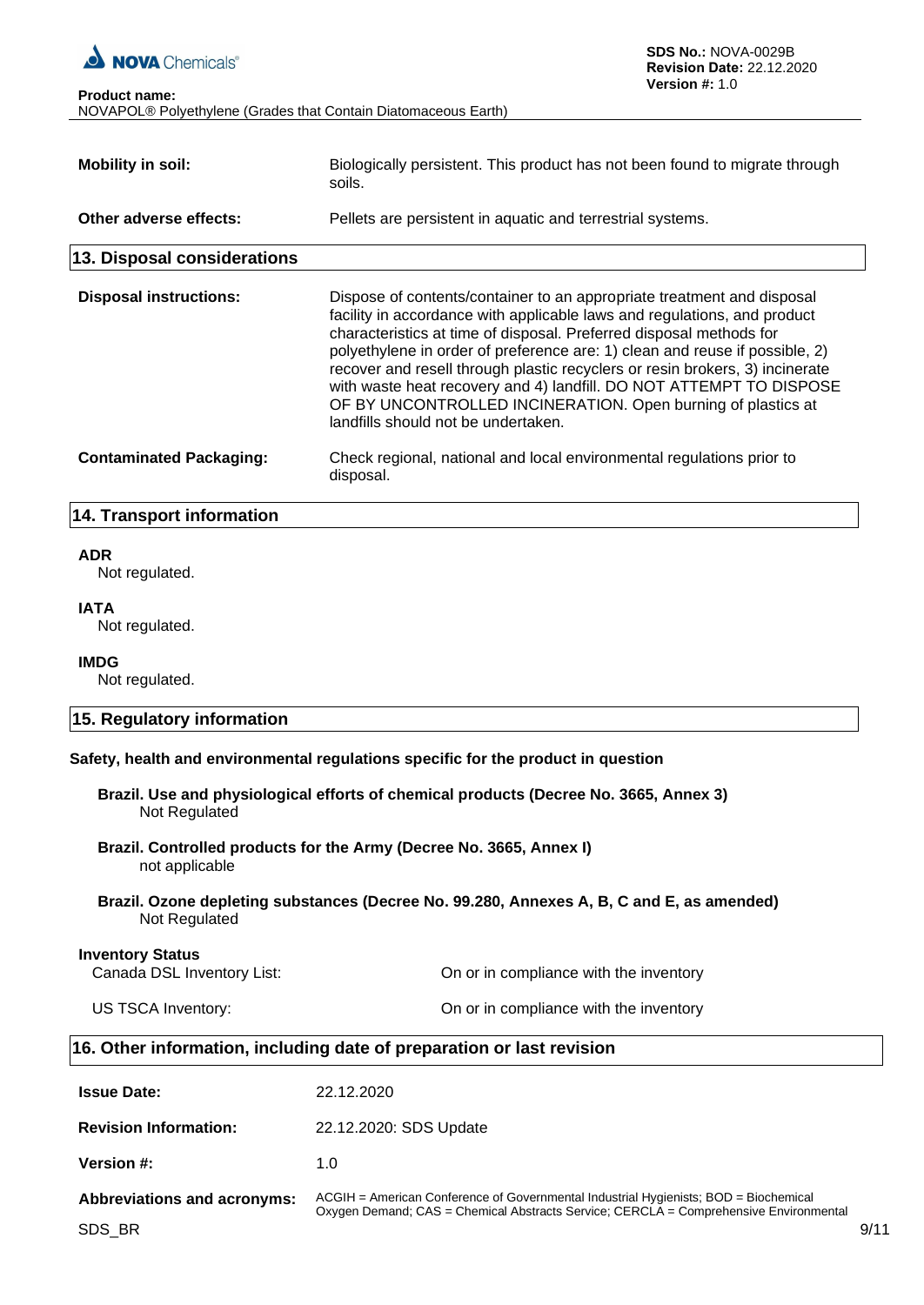

| <b>Mobility in soil:</b>         | Biologically persistent. This product has not been found to migrate through<br>soils.                                                                                                                                                                                                                                                                                                                                                                                                                                                                                  |
|----------------------------------|------------------------------------------------------------------------------------------------------------------------------------------------------------------------------------------------------------------------------------------------------------------------------------------------------------------------------------------------------------------------------------------------------------------------------------------------------------------------------------------------------------------------------------------------------------------------|
| Other adverse effects:           | Pellets are persistent in aquatic and terrestrial systems.                                                                                                                                                                                                                                                                                                                                                                                                                                                                                                             |
| 13. Disposal considerations      |                                                                                                                                                                                                                                                                                                                                                                                                                                                                                                                                                                        |
| <b>Disposal instructions:</b>    | Dispose of contents/container to an appropriate treatment and disposal<br>facility in accordance with applicable laws and regulations, and product<br>characteristics at time of disposal. Preferred disposal methods for<br>polyethylene in order of preference are: 1) clean and reuse if possible, 2)<br>recover and resell through plastic recyclers or resin brokers, 3) incinerate<br>with waste heat recovery and 4) landfill. DO NOT ATTEMPT TO DISPOSE<br>OF BY UNCONTROLLED INCINERATION. Open burning of plastics at<br>landfills should not be undertaken. |
| <b>Contaminated Packaging:</b>   | Check regional, national and local environmental regulations prior to<br>disposal.                                                                                                                                                                                                                                                                                                                                                                                                                                                                                     |
| <b>14. Transport information</b> |                                                                                                                                                                                                                                                                                                                                                                                                                                                                                                                                                                        |

## **ADR**

Not regulated.

#### **IATA**

Not regulated.

#### **IMDG**

Not regulated.

| 15. Regulatory information |  |
|----------------------------|--|
|                            |  |

**Safety, health and environmental regulations specific for the product in question**

| Brazil. Use and physiological efforts of chemical products (Decree No. 3665, Annex 3) |  |  |
|---------------------------------------------------------------------------------------|--|--|
| Not Regulated                                                                         |  |  |

## **Brazil. Controlled products for the Army (Decree No. 3665, Annex I)** not applicable

## **Brazil. Ozone depleting substances (Decree No. 99.280, Annexes A, B, C and E, as amended)** Not Regulated

## **Inventory Status**

Canada DSL Inventory List: On or in compliance with the inventory

US TSCA Inventory: On or in compliance with the inventory

# **16. Other information, including date of preparation or last revision**

| 22.12.2020 |
|------------|
|            |

**Revision Information:** 22.12.2020: SDS Update

**Version #:** 1.0

**Abbreviations and acronyms:** ACGIH = American Conference of Governmental Industrial Hygienists; BOD = Biochemical Oxygen Demand; CAS = Chemical Abstracts Service; CERCLA = Comprehensive Environmental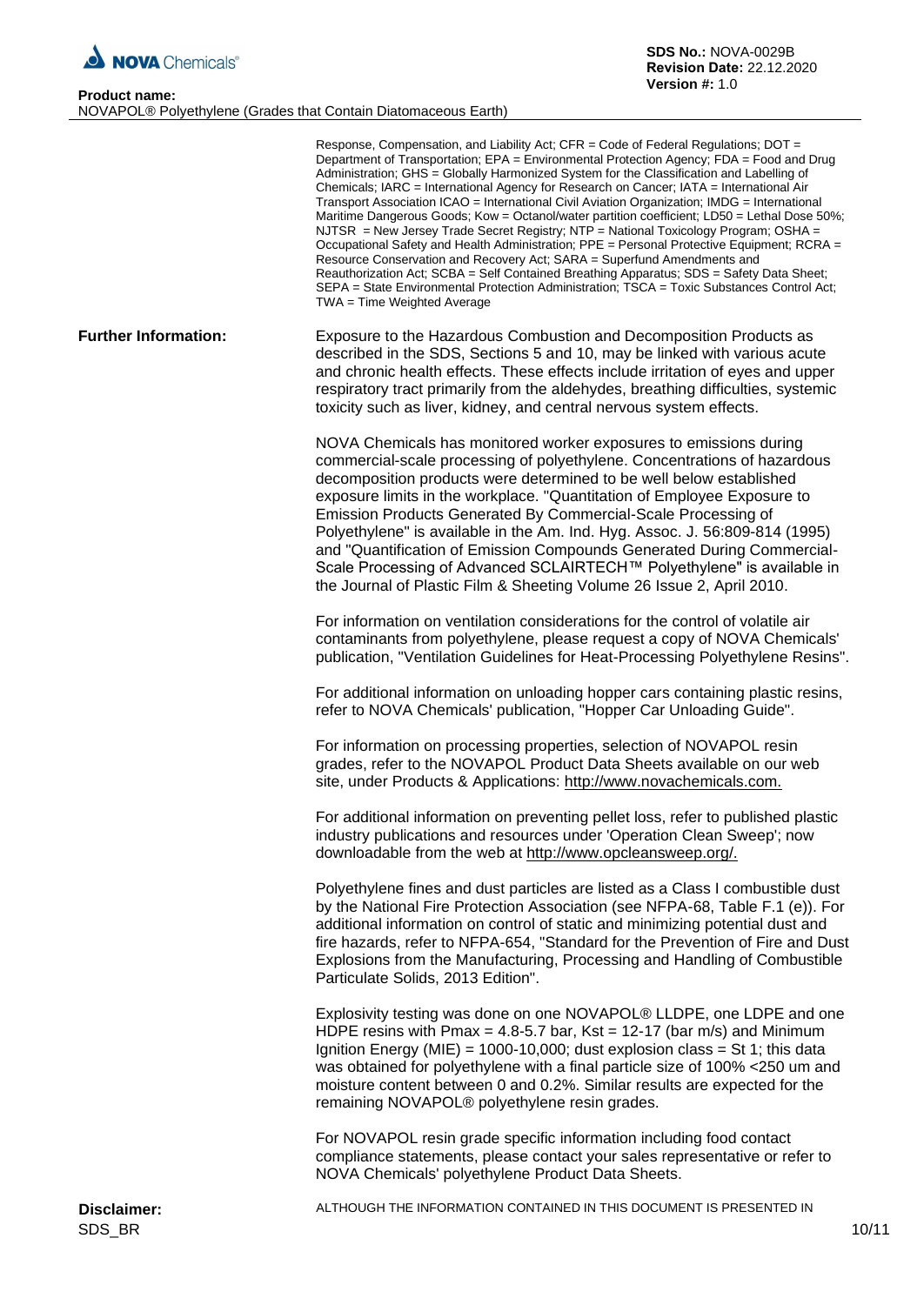

|                             | Response, Compensation, and Liability Act; CFR = Code of Federal Regulations; DOT =<br>Department of Transportation; EPA = Environmental Protection Agency; FDA = Food and Drug<br>Administration; GHS = Globally Harmonized System for the Classification and Labelling of<br>Chemicals; IARC = International Agency for Research on Cancer; IATA = International Air<br>Transport Association ICAO = International Civil Aviation Organization; IMDG = International<br>Maritime Dangerous Goods; Kow = Octanol/water partition coefficient; LD50 = Lethal Dose 50%;<br>NJTSR = New Jersey Trade Secret Registry; NTP = National Toxicology Program; OSHA =<br>Occupational Safety and Health Administration; PPE = Personal Protective Equipment; RCRA =<br>Resource Conservation and Recovery Act; SARA = Superfund Amendments and<br>Reauthorization Act; SCBA = Self Contained Breathing Apparatus; SDS = Safety Data Sheet;<br>SEPA = State Environmental Protection Administration; TSCA = Toxic Substances Control Act;<br>TWA = Time Weighted Average |
|-----------------------------|-----------------------------------------------------------------------------------------------------------------------------------------------------------------------------------------------------------------------------------------------------------------------------------------------------------------------------------------------------------------------------------------------------------------------------------------------------------------------------------------------------------------------------------------------------------------------------------------------------------------------------------------------------------------------------------------------------------------------------------------------------------------------------------------------------------------------------------------------------------------------------------------------------------------------------------------------------------------------------------------------------------------------------------------------------------------|
| <b>Further Information:</b> | Exposure to the Hazardous Combustion and Decomposition Products as<br>described in the SDS, Sections 5 and 10, may be linked with various acute<br>and chronic health effects. These effects include irritation of eyes and upper<br>respiratory tract primarily from the aldehydes, breathing difficulties, systemic<br>toxicity such as liver, kidney, and central nervous system effects.                                                                                                                                                                                                                                                                                                                                                                                                                                                                                                                                                                                                                                                                    |
|                             | NOVA Chemicals has monitored worker exposures to emissions during<br>commercial-scale processing of polyethylene. Concentrations of hazardous<br>decomposition products were determined to be well below established<br>exposure limits in the workplace. "Quantitation of Employee Exposure to<br>Emission Products Generated By Commercial-Scale Processing of<br>Polyethylene" is available in the Am. Ind. Hyg. Assoc. J. 56:809-814 (1995)<br>and "Quantification of Emission Compounds Generated During Commercial-<br>Scale Processing of Advanced SCLAIRTECH™ Polyethylene" is available in<br>the Journal of Plastic Film & Sheeting Volume 26 Issue 2, April 2010.                                                                                                                                                                                                                                                                                                                                                                                    |
|                             | For information on ventilation considerations for the control of volatile air<br>contaminants from polyethylene, please request a copy of NOVA Chemicals'<br>publication, "Ventilation Guidelines for Heat-Processing Polyethylene Resins".                                                                                                                                                                                                                                                                                                                                                                                                                                                                                                                                                                                                                                                                                                                                                                                                                     |
|                             | For additional information on unloading hopper cars containing plastic resins,<br>refer to NOVA Chemicals' publication, "Hopper Car Unloading Guide".                                                                                                                                                                                                                                                                                                                                                                                                                                                                                                                                                                                                                                                                                                                                                                                                                                                                                                           |
|                             | For information on processing properties, selection of NOVAPOL resin<br>grades, refer to the NOVAPOL Product Data Sheets available on our web<br>site, under Products & Applications: http://www.novachemicals.com.                                                                                                                                                                                                                                                                                                                                                                                                                                                                                                                                                                                                                                                                                                                                                                                                                                             |
|                             | For additional information on preventing pellet loss, refer to published plastic<br>industry publications and resources under 'Operation Clean Sweep'; now<br>downloadable from the web at http://www.opcleansweep.org/.                                                                                                                                                                                                                                                                                                                                                                                                                                                                                                                                                                                                                                                                                                                                                                                                                                        |
|                             | Polyethylene fines and dust particles are listed as a Class I combustible dust<br>by the National Fire Protection Association (see NFPA-68, Table F.1 (e)). For<br>additional information on control of static and minimizing potential dust and<br>fire hazards, refer to NFPA-654, "Standard for the Prevention of Fire and Dust<br>Explosions from the Manufacturing, Processing and Handling of Combustible<br>Particulate Solids, 2013 Edition".                                                                                                                                                                                                                                                                                                                                                                                                                                                                                                                                                                                                           |
|                             | Explosivity testing was done on one NOVAPOL® LLDPE, one LDPE and one<br>HDPE resins with Pmax = 4.8-5.7 bar, Kst = 12-17 (bar m/s) and Minimum<br>Ignition Energy (MIE) = 1000-10,000; dust explosion class = St 1; this data<br>was obtained for polyethylene with a final particle size of 100% <250 um and<br>moisture content between 0 and 0.2%. Similar results are expected for the<br>remaining NOVAPOL® polyethylene resin grades.                                                                                                                                                                                                                                                                                                                                                                                                                                                                                                                                                                                                                     |
|                             | For NOVAPOL resin grade specific information including food contact<br>compliance statements, please contact your sales representative or refer to<br>NOVA Chemicals' polyethylene Product Data Sheets.                                                                                                                                                                                                                                                                                                                                                                                                                                                                                                                                                                                                                                                                                                                                                                                                                                                         |
| <b>Disclaimer:</b>          | ALTHOUGH THE INFORMATION CONTAINED IN THIS DOCUMENT IS PRESENTED IN                                                                                                                                                                                                                                                                                                                                                                                                                                                                                                                                                                                                                                                                                                                                                                                                                                                                                                                                                                                             |